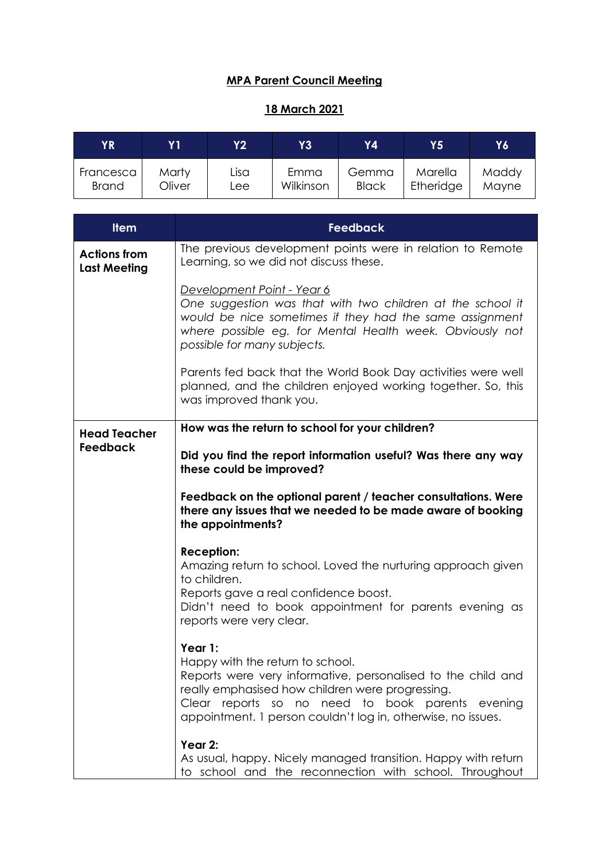## **MPA Parent Council Meeting**

## **18 March 2021**

| ΥR           | Y 1    | Y2   | Y3        | Υ4           | Y5'       | Y6    |
|--------------|--------|------|-----------|--------------|-----------|-------|
| Francesca    | Marty  | Lisa | Emma      | Gemma        | Marella   | Maddy |
| <b>Brand</b> | Oliver | Lee. | Wilkinson | <b>Black</b> | Etheridge | Mayne |

| <b>Item</b>                                | <b>Feedback</b>                                                                                                                                                                                                                                                                     |
|--------------------------------------------|-------------------------------------------------------------------------------------------------------------------------------------------------------------------------------------------------------------------------------------------------------------------------------------|
| <b>Actions from</b><br><b>Last Meeting</b> | The previous development points were in relation to Remote<br>Learning, so we did not discuss these.                                                                                                                                                                                |
|                                            | Development Point - Year 6<br>One suggestion was that with two children at the school it<br>would be nice sometimes if they had the same assignment<br>where possible eg. for Mental Health week. Obviously not<br>possible for many subjects.                                      |
|                                            | Parents fed back that the World Book Day activities were well<br>planned, and the children enjoyed working together. So, this<br>was improved thank you.                                                                                                                            |
| <b>Head Teacher</b>                        | How was the return to school for your children?                                                                                                                                                                                                                                     |
| <b>Feedback</b>                            | Did you find the report information useful? Was there any way<br>these could be improved?                                                                                                                                                                                           |
|                                            | Feedback on the optional parent / teacher consultations. Were<br>there any issues that we needed to be made aware of booking<br>the appointments?                                                                                                                                   |
|                                            | <b>Reception:</b><br>Amazing return to school. Loved the nurturing approach given<br>to children.<br>Reports gave a real confidence boost.<br>Didn't need to book appointment for parents evening as<br>reports were very clear.                                                    |
|                                            | Year 1:<br>Happy with the return to school.<br>Reports were very informative, personalised to the child and<br>really emphasised how children were progressing.<br>Clear reports so no need to book parents evening<br>appointment. 1 person couldn't log in, otherwise, no issues. |
|                                            | Year 2:<br>As usual, happy. Nicely managed transition. Happy with return<br>to school and the reconnection with school. Throughout                                                                                                                                                  |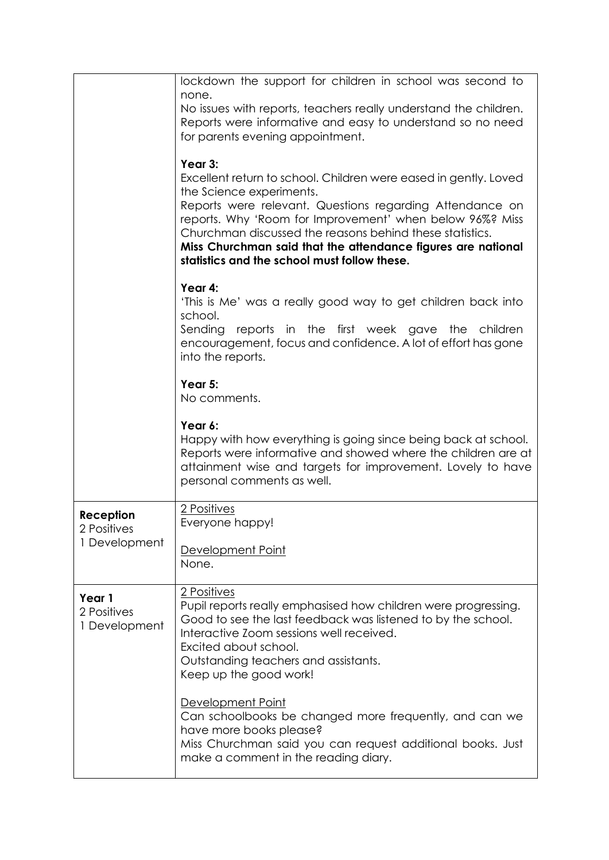|                                           | lockdown the support for children in school was second to<br>none.<br>No issues with reports, teachers really understand the children.<br>Reports were informative and easy to understand so no need<br>for parents evening appointment.<br>Year 3:<br>Excellent return to school. Children were eased in gently. Loved<br>the Science experiments.<br>Reports were relevant. Questions regarding Attendance on<br>reports. Why 'Room for Improvement' when below 96%? Miss<br>Churchman discussed the reasons behind these statistics.<br>Miss Churchman said that the attendance figures are national<br>statistics and the school must follow these. |
|-------------------------------------------|---------------------------------------------------------------------------------------------------------------------------------------------------------------------------------------------------------------------------------------------------------------------------------------------------------------------------------------------------------------------------------------------------------------------------------------------------------------------------------------------------------------------------------------------------------------------------------------------------------------------------------------------------------|
|                                           | Year 4:<br>'This is Me' was a really good way to get children back into<br>school.<br>Sending reports in the first week gave the children<br>encouragement, focus and confidence. A lot of effort has gone<br>into the reports.                                                                                                                                                                                                                                                                                                                                                                                                                         |
|                                           | Year 5:<br>No comments.                                                                                                                                                                                                                                                                                                                                                                                                                                                                                                                                                                                                                                 |
|                                           | Year 6:<br>Happy with how everything is going since being back at school.<br>Reports were informative and showed where the children are at<br>attainment wise and targets for improvement. Lovely to have<br>personal comments as well.                                                                                                                                                                                                                                                                                                                                                                                                                 |
| Reception<br>2 Positives<br>1 Development | 2 Positives<br>Everyone happy!<br>Development Point<br>None.                                                                                                                                                                                                                                                                                                                                                                                                                                                                                                                                                                                            |
| Year 1<br>2 Positives<br>1 Development    | 2 Positives<br>Pupil reports really emphasised how children were progressing.<br>Good to see the last feedback was listened to by the school.<br>Interactive Zoom sessions well received.<br>Excited about school.<br>Outstanding teachers and assistants.<br>Keep up the good work!                                                                                                                                                                                                                                                                                                                                                                    |
|                                           | Development Point<br>Can schoolbooks be changed more frequently, and can we<br>have more books please?<br>Miss Churchman said you can request additional books. Just<br>make a comment in the reading diary.                                                                                                                                                                                                                                                                                                                                                                                                                                            |